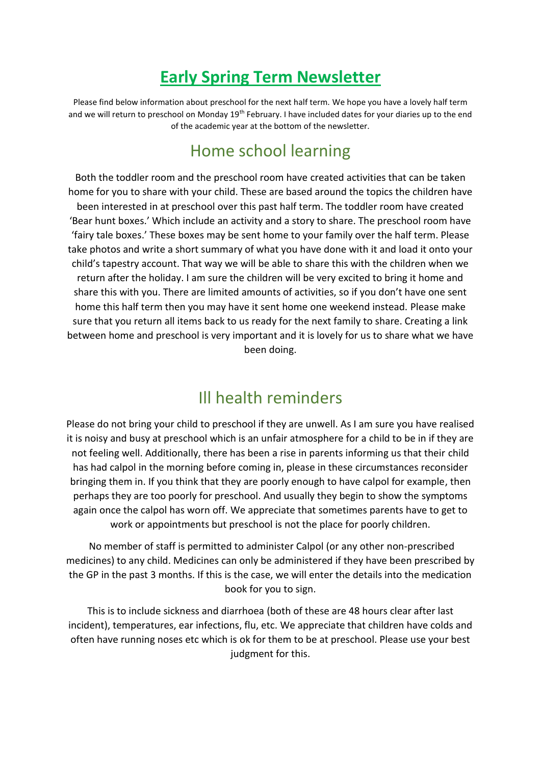## **Early Spring Term Newsletter**

Please find below information about preschool for the next half term. We hope you have a lovely half term and we will return to preschool on Monday 19<sup>th</sup> February. I have included dates for your diaries up to the end of the academic year at the bottom of the newsletter.

#### Home school learning

Both the toddler room and the preschool room have created activities that can be taken home for you to share with your child. These are based around the topics the children have been interested in at preschool over this past half term. The toddler room have created 'Bear hunt boxes.' Which include an activity and a story to share. The preschool room have 'fairy tale boxes.' These boxes may be sent home to your family over the half term. Please take photos and write a short summary of what you have done with it and load it onto your child's tapestry account. That way we will be able to share this with the children when we return after the holiday. I am sure the children will be very excited to bring it home and share this with you. There are limited amounts of activities, so if you don't have one sent home this half term then you may have it sent home one weekend instead. Please make sure that you return all items back to us ready for the next family to share. Creating a link between home and preschool is very important and it is lovely for us to share what we have been doing.

# Ill health reminders

Please do not bring your child to preschool if they are unwell. As I am sure you have realised it is noisy and busy at preschool which is an unfair atmosphere for a child to be in if they are not feeling well. Additionally, there has been a rise in parents informing us that their child has had calpol in the morning before coming in, please in these circumstances reconsider bringing them in. If you think that they are poorly enough to have calpol for example, then perhaps they are too poorly for preschool. And usually they begin to show the symptoms again once the calpol has worn off. We appreciate that sometimes parents have to get to work or appointments but preschool is not the place for poorly children.

No member of staff is permitted to administer Calpol (or any other non-prescribed medicines) to any child. Medicines can only be administered if they have been prescribed by the GP in the past 3 months. If this is the case, we will enter the details into the medication book for you to sign.

This is to include sickness and diarrhoea (both of these are 48 hours clear after last incident), temperatures, ear infections, flu, etc. We appreciate that children have colds and often have running noses etc which is ok for them to be at preschool. Please use your best judgment for this.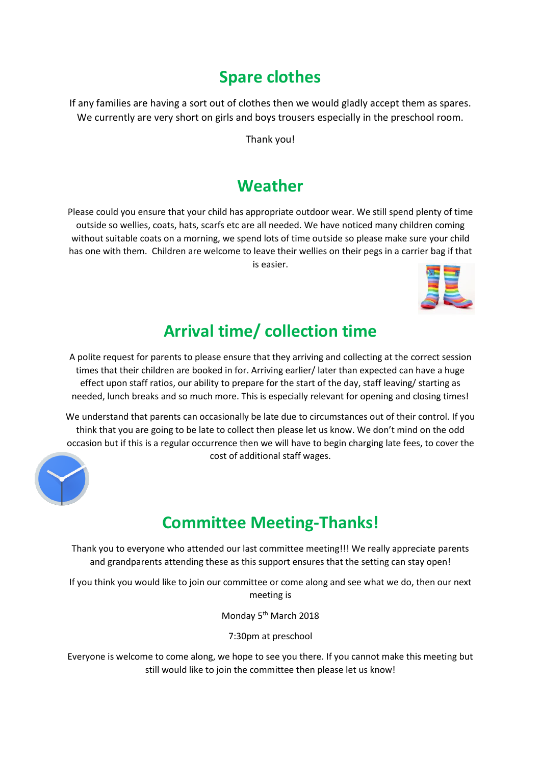## **Spare clothes**

If any families are having a sort out of clothes then we would gladly accept them as spares. We currently are very short on girls and boys trousers especially in the preschool room.

Thank you!

#### **Weather**

Please could you ensure that your child has appropriate outdoor wear. We still spend plenty of time outside so wellies, coats, hats, scarfs etc are all needed. We have noticed many children coming without suitable coats on a morning, we spend lots of time outside so please make sure your child has one with them. Children are welcome to leave their wellies on their pegs in a carrier bag if that is easier.



# **Arrival time/ collection time**

A polite request for parents to please ensure that they arriving and collecting at the correct session times that their children are booked in for. Arriving earlier/ later than expected can have a huge effect upon staff ratios, our ability to prepare for the start of the day, staff leaving/ starting as needed, lunch breaks and so much more. This is especially relevant for opening and closing times!

We understand that parents can occasionally be late due to circumstances out of their control. If you think that you are going to be late to collect then please let us know. We don't mind on the odd occasion but if this is a regular occurrence then we will have to begin charging late fees, to cover the cost of additional staff wages.



# **Committee Meeting-Thanks!**

Thank you to everyone who attended our last committee meeting!!! We really appreciate parents and grandparents attending these as this support ensures that the setting can stay open!

If you think you would like to join our committee or come along and see what we do, then our next meeting is

Monday 5<sup>th</sup> March 2018

7:30pm at preschool

Everyone is welcome to come along, we hope to see you there. If you cannot make this meeting but still would like to join the committee then please let us know!